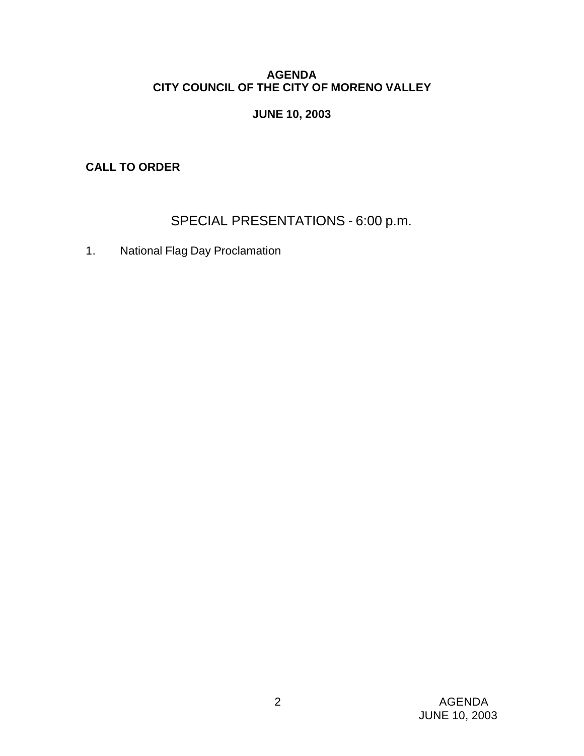## **AGENDA CITY COUNCIL OF THE CITY OF MORENO VALLEY**

# **JUNE 10, 2003**

**CALL TO ORDER**

SPECIAL PRESENTATIONS - 6:00 p.m.

1. National Flag Day Proclamation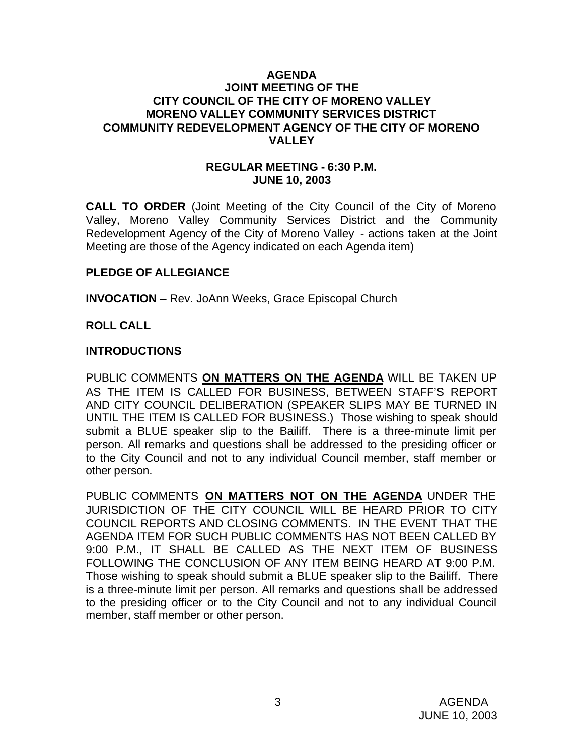#### **AGENDA JOINT MEETING OF THE CITY COUNCIL OF THE CITY OF MORENO VALLEY MORENO VALLEY COMMUNITY SERVICES DISTRICT COMMUNITY REDEVELOPMENT AGENCY OF THE CITY OF MORENO VALLEY**

#### **REGULAR MEETING - 6:30 P.M. JUNE 10, 2003**

**CALL TO ORDER** (Joint Meeting of the City Council of the City of Moreno Valley, Moreno Valley Community Services District and the Community Redevelopment Agency of the City of Moreno Valley - actions taken at the Joint Meeting are those of the Agency indicated on each Agenda item)

## **PLEDGE OF ALLEGIANCE**

**INVOCATION** – Rev. JoAnn Weeks, Grace Episcopal Church

#### **ROLL CALL**

#### **INTRODUCTIONS**

PUBLIC COMMENTS **ON MATTERS ON THE AGENDA** WILL BE TAKEN UP AS THE ITEM IS CALLED FOR BUSINESS, BETWEEN STAFF'S REPORT AND CITY COUNCIL DELIBERATION (SPEAKER SLIPS MAY BE TURNED IN UNTIL THE ITEM IS CALLED FOR BUSINESS.) Those wishing to speak should submit a BLUE speaker slip to the Bailiff. There is a three-minute limit per person. All remarks and questions shall be addressed to the presiding officer or to the City Council and not to any individual Council member, staff member or other person.

PUBLIC COMMENTS **ON MATTERS NOT ON THE AGENDA** UNDER THE JURISDICTION OF THE CITY COUNCIL WILL BE HEARD PRIOR TO CITY COUNCIL REPORTS AND CLOSING COMMENTS. IN THE EVENT THAT THE AGENDA ITEM FOR SUCH PUBLIC COMMENTS HAS NOT BEEN CALLED BY 9:00 P.M., IT SHALL BE CALLED AS THE NEXT ITEM OF BUSINESS FOLLOWING THE CONCLUSION OF ANY ITEM BEING HEARD AT 9:00 P.M. Those wishing to speak should submit a BLUE speaker slip to the Bailiff. There is a three-minute limit per person. All remarks and questions shall be addressed to the presiding officer or to the City Council and not to any individual Council member, staff member or other person.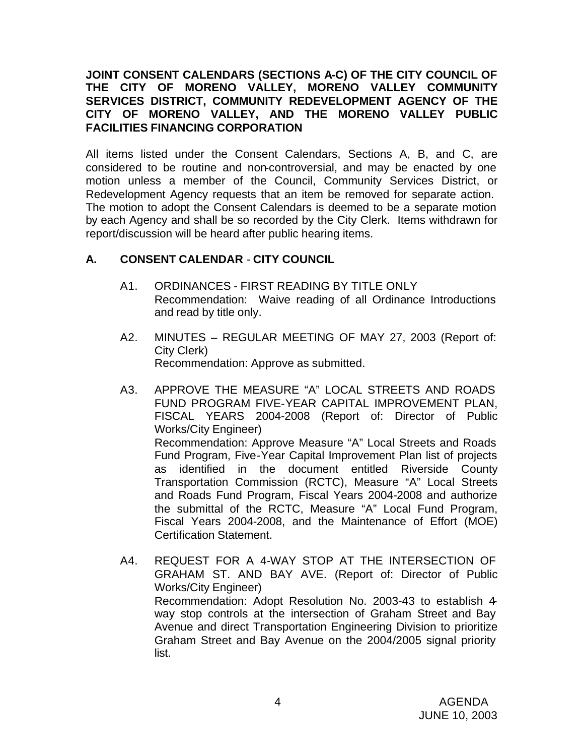## **JOINT CONSENT CALENDARS (SECTIONS A-C) OF THE CITY COUNCIL OF THE CITY OF MORENO VALLEY, MORENO VALLEY COMMUNITY SERVICES DISTRICT, COMMUNITY REDEVELOPMENT AGENCY OF THE CITY OF MORENO VALLEY, AND THE MORENO VALLEY PUBLIC FACILITIES FINANCING CORPORATION**

All items listed under the Consent Calendars, Sections A, B, and C, are considered to be routine and non-controversial, and may be enacted by one motion unless a member of the Council, Community Services District, or Redevelopment Agency requests that an item be removed for separate action. The motion to adopt the Consent Calendars is deemed to be a separate motion by each Agency and shall be so recorded by the City Clerk. Items withdrawn for report/discussion will be heard after public hearing items.

# **A. CONSENT CALENDAR** - **CITY COUNCIL**

- A1. ORDINANCES FIRST READING BY TITLE ONLY Recommendation: Waive reading of all Ordinance Introductions and read by title only.
- A2. MINUTES REGULAR MEETING OF MAY 27, 2003 (Report of: City Clerk) Recommendation: Approve as submitted.
- A3. APPROVE THE MEASURE "A" LOCAL STREETS AND ROADS FUND PROGRAM FIVE-YEAR CAPITAL IMPROVEMENT PLAN, FISCAL YEARS 2004-2008 (Report of: Director of Public Works/City Engineer) Recommendation: Approve Measure "A" Local Streets and Roads Fund Program, Five-Year Capital Improvement Plan list of projects as identified in the document entitled Riverside County Transportation Commission (RCTC), Measure "A" Local Streets and Roads Fund Program, Fiscal Years 2004-2008 and authorize the submittal of the RCTC, Measure "A" Local Fund Program, Fiscal Years 2004-2008, and the Maintenance of Effort (MOE) Certification Statement.
- A4. REQUEST FOR A 4-WAY STOP AT THE INTERSECTION OF GRAHAM ST. AND BAY AVE. (Report of: Director of Public Works/City Engineer) Recommendation: Adopt Resolution No. 2003-43 to establish 4 way stop controls at the intersection of Graham Street and Bay Avenue and direct Transportation Engineering Division to prioritize Graham Street and Bay Avenue on the 2004/2005 signal priority list.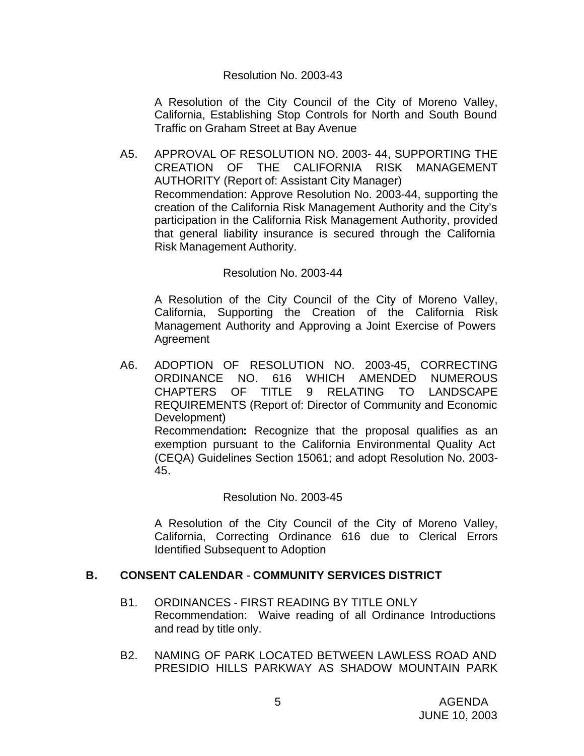#### Resolution No. 2003-43

A Resolution of the City Council of the City of Moreno Valley, California, Establishing Stop Controls for North and South Bound Traffic on Graham Street at Bay Avenue

A5. APPROVAL OF RESOLUTION NO. 2003- 44, SUPPORTING THE CREATION OF THE CALIFORNIA RISK MANAGEMENT AUTHORITY (Report of: Assistant City Manager) Recommendation: Approve Resolution No. 2003-44, supporting the creation of the California Risk Management Authority and the City's participation in the California Risk Management Authority, provided that general liability insurance is secured through the California Risk Management Authority.

## Resolution No. 2003-44

A Resolution of the City Council of the City of Moreno Valley, California, Supporting the Creation of the California Risk Management Authority and Approving a Joint Exercise of Powers Agreement

A6. ADOPTION OF RESOLUTION NO. 2003-45, CORRECTING ORDINANCE NO. 616 WHICH AMENDED NUMEROUS CHAPTERS OF TITLE 9 RELATING TO LANDSCAPE REQUIREMENTS (Report of: Director of Community and Economic Development) Recommendation**:** Recognize that the proposal qualifies as an exemption pursuant to the California Environmental Quality Act (CEQA) Guidelines Section 15061; and adopt Resolution No. 2003- 45.

## Resolution No. 2003-45

A Resolution of the City Council of the City of Moreno Valley, California, Correcting Ordinance 616 due to Clerical Errors Identified Subsequent to Adoption

## **B. CONSENT CALENDAR** - **COMMUNITY SERVICES DISTRICT**

- B1. ORDINANCES FIRST READING BY TITLE ONLY Recommendation: Waive reading of all Ordinance Introductions and read by title only.
- B2. NAMING OF PARK LOCATED BETWEEN LAWLESS ROAD AND PRESIDIO HILLS PARKWAY AS SHADOW MOUNTAIN PARK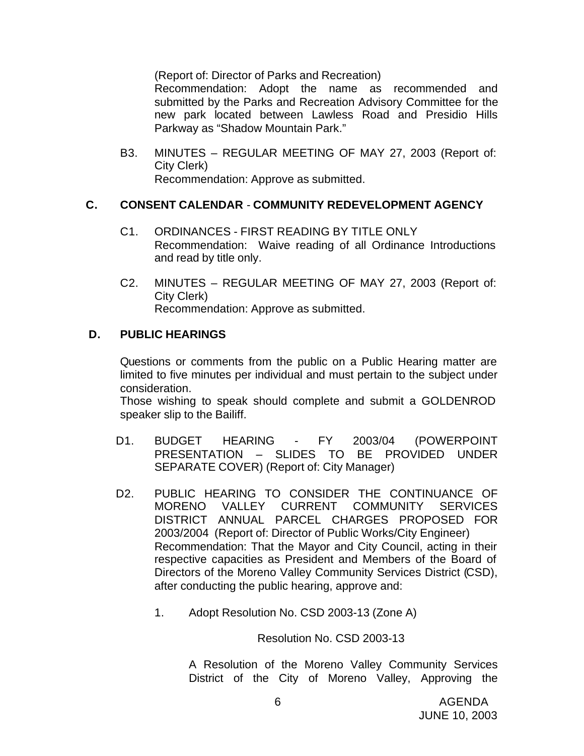(Report of: Director of Parks and Recreation)

Recommendation: Adopt the name as recommended and submitted by the Parks and Recreation Advisory Committee for the new park located between Lawless Road and Presidio Hills Parkway as "Shadow Mountain Park."

B3. MINUTES – REGULAR MEETING OF MAY 27, 2003 (Report of: City Clerk) Recommendation: Approve as submitted.

## **C. CONSENT CALENDAR** - **COMMUNITY REDEVELOPMENT AGENCY**

- C1. ORDINANCES FIRST READING BY TITLE ONLY Recommendation: Waive reading of all Ordinance Introductions and read by title only.
- C2. MINUTES REGULAR MEETING OF MAY 27, 2003 (Report of: City Clerk) Recommendation: Approve as submitted.

#### **D. PUBLIC HEARINGS**

Questions or comments from the public on a Public Hearing matter are limited to five minutes per individual and must pertain to the subject under consideration.

Those wishing to speak should complete and submit a GOLDENROD speaker slip to the Bailiff.

- D1. BUDGET HEARING FY 2003/04 (POWERPOINT PRESENTATION – SLIDES TO BE PROVIDED UNDER SEPARATE COVER) (Report of: City Manager)
- D2. PUBLIC HEARING TO CONSIDER THE CONTINUANCE OF MORENO VALLEY CURRENT COMMUNITY SERVICES DISTRICT ANNUAL PARCEL CHARGES PROPOSED FOR 2003/2004 (Report of: Director of Public Works/City Engineer) Recommendation: That the Mayor and City Council, acting in their respective capacities as President and Members of the Board of Directors of the Moreno Valley Community Services District (CSD), after conducting the public hearing, approve and:
	- 1. Adopt Resolution No. CSD 2003-13 (Zone A)

Resolution No. CSD 2003-13

A Resolution of the Moreno Valley Community Services District of the City of Moreno Valley, Approving the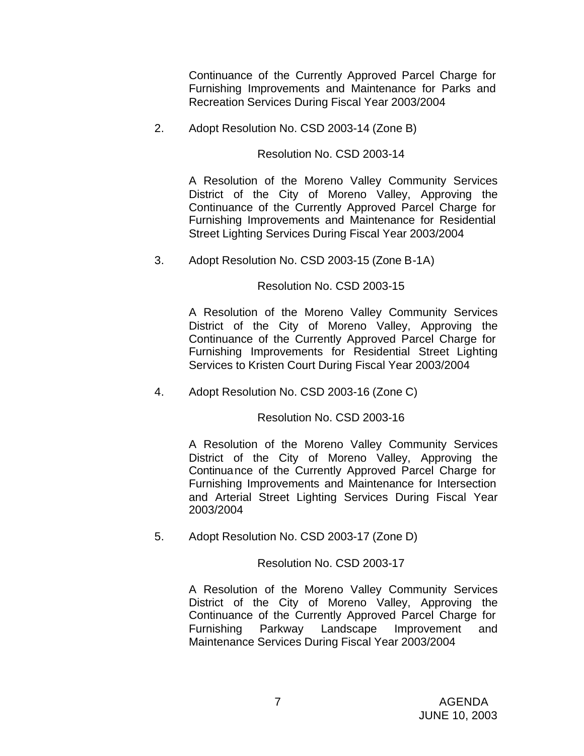Continuance of the Currently Approved Parcel Charge for Furnishing Improvements and Maintenance for Parks and Recreation Services During Fiscal Year 2003/2004

2. Adopt Resolution No. CSD 2003-14 (Zone B)

Resolution No. CSD 2003-14

A Resolution of the Moreno Valley Community Services District of the City of Moreno Valley, Approving the Continuance of the Currently Approved Parcel Charge for Furnishing Improvements and Maintenance for Residential Street Lighting Services During Fiscal Year 2003/2004

3. Adopt Resolution No. CSD 2003-15 (Zone B-1A)

## Resolution No. CSD 2003-15

A Resolution of the Moreno Valley Community Services District of the City of Moreno Valley, Approving the Continuance of the Currently Approved Parcel Charge for Furnishing Improvements for Residential Street Lighting Services to Kristen Court During Fiscal Year 2003/2004

4. Adopt Resolution No. CSD 2003-16 (Zone C)

Resolution No. CSD 2003-16

A Resolution of the Moreno Valley Community Services District of the City of Moreno Valley, Approving the Continuance of the Currently Approved Parcel Charge for Furnishing Improvements and Maintenance for Intersection and Arterial Street Lighting Services During Fiscal Year 2003/2004

5. Adopt Resolution No. CSD 2003-17 (Zone D)

Resolution No. CSD 2003-17

A Resolution of the Moreno Valley Community Services District of the City of Moreno Valley, Approving the Continuance of the Currently Approved Parcel Charge for Furnishing Parkway Landscape Improvement and Maintenance Services During Fiscal Year 2003/2004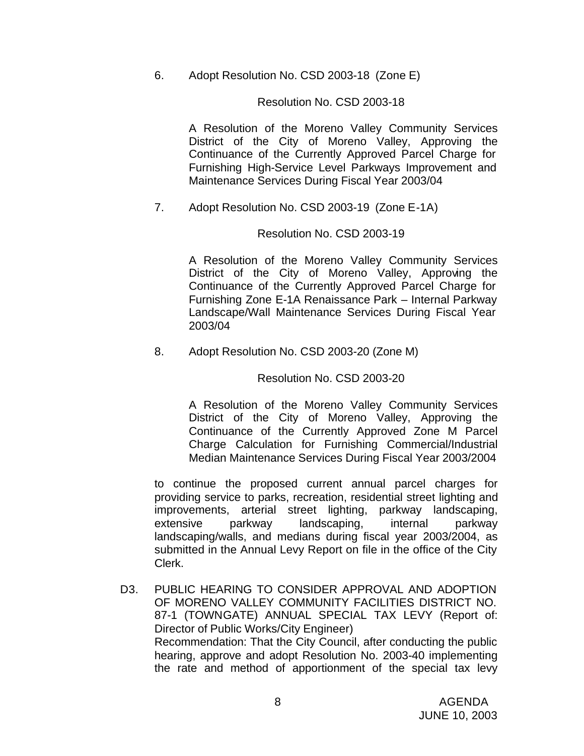6. Adopt Resolution No. CSD 2003-18 (Zone E)

## Resolution No. CSD 2003-18

A Resolution of the Moreno Valley Community Services District of the City of Moreno Valley, Approving the Continuance of the Currently Approved Parcel Charge for Furnishing High-Service Level Parkways Improvement and Maintenance Services During Fiscal Year 2003/04

7. Adopt Resolution No. CSD 2003-19 (Zone E-1A)

## Resolution No. CSD 2003-19

A Resolution of the Moreno Valley Community Services District of the City of Moreno Valley, Approving the Continuance of the Currently Approved Parcel Charge for Furnishing Zone E-1A Renaissance Park – Internal Parkway Landscape/Wall Maintenance Services During Fiscal Year 2003/04

8. Adopt Resolution No. CSD 2003-20 (Zone M)

## Resolution No. CSD 2003-20

A Resolution of the Moreno Valley Community Services District of the City of Moreno Valley, Approving the Continuance of the Currently Approved Zone M Parcel Charge Calculation for Furnishing Commercial/Industrial Median Maintenance Services During Fiscal Year 2003/2004

to continue the proposed current annual parcel charges for providing service to parks, recreation, residential street lighting and improvements, arterial street lighting, parkway landscaping, extensive parkway landscaping, internal parkway landscaping/walls, and medians during fiscal year 2003/2004, as submitted in the Annual Levy Report on file in the office of the City Clerk.

D3. PUBLIC HEARING TO CONSIDER APPROVAL AND ADOPTION OF MORENO VALLEY COMMUNITY FACILITIES DISTRICT NO. 87-1 (TOWNGATE) ANNUAL SPECIAL TAX LEVY (Report of: Director of Public Works/City Engineer) Recommendation: That the City Council, after conducting the public hearing, approve and adopt Resolution No. 2003-40 implementing the rate and method of apportionment of the special tax levy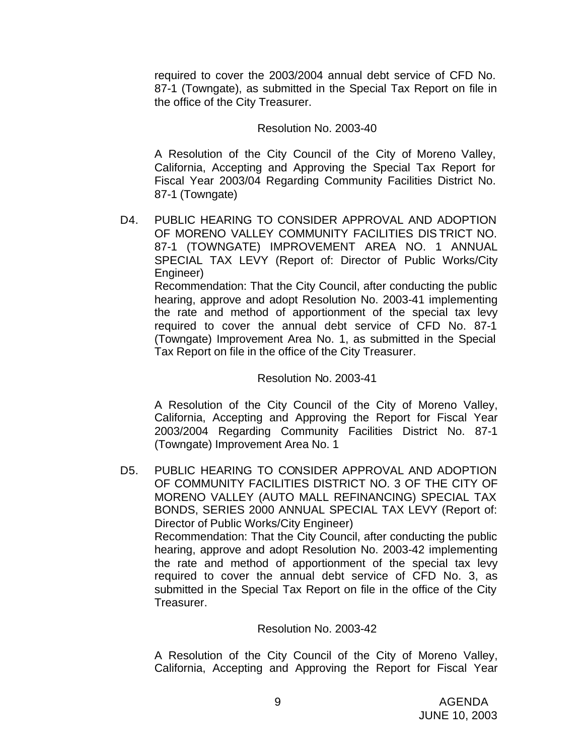required to cover the 2003/2004 annual debt service of CFD No. 87-1 (Towngate), as submitted in the Special Tax Report on file in the office of the City Treasurer.

#### Resolution No. 2003-40

A Resolution of the City Council of the City of Moreno Valley, California, Accepting and Approving the Special Tax Report for Fiscal Year 2003/04 Regarding Community Facilities District No. 87-1 (Towngate)

D4. PUBLIC HEARING TO CONSIDER APPROVAL AND ADOPTION OF MORENO VALLEY COMMUNITY FACILITIES DIS TRICT NO. 87-1 (TOWNGATE) IMPROVEMENT AREA NO. 1 ANNUAL SPECIAL TAX LEVY (Report of: Director of Public Works/City Engineer) Recommendation: That the City Council, after conducting the public hearing, approve and adopt Resolution No. 2003-41 implementing the rate and method of apportionment of the special tax levy required to cover the annual debt service of CFD No. 87-1 (Towngate) Improvement Area No. 1, as submitted in the Special Tax Report on file in the office of the City Treasurer.

#### Resolution No. 2003-41

A Resolution of the City Council of the City of Moreno Valley, California, Accepting and Approving the Report for Fiscal Year 2003/2004 Regarding Community Facilities District No. 87-1 (Towngate) Improvement Area No. 1

D5. PUBLIC HEARING TO CONSIDER APPROVAL AND ADOPTION OF COMMUNITY FACILITIES DISTRICT NO. 3 OF THE CITY OF MORENO VALLEY (AUTO MALL REFINANCING) SPECIAL TAX BONDS, SERIES 2000 ANNUAL SPECIAL TAX LEVY (Report of: Director of Public Works/City Engineer) Recommendation: That the City Council, after conducting the public hearing, approve and adopt Resolution No. 2003-42 implementing the rate and method of apportionment of the special tax levy required to cover the annual debt service of CFD No. 3, as submitted in the Special Tax Report on file in the office of the City Treasurer.

#### Resolution No. 2003-42

A Resolution of the City Council of the City of Moreno Valley, California, Accepting and Approving the Report for Fiscal Year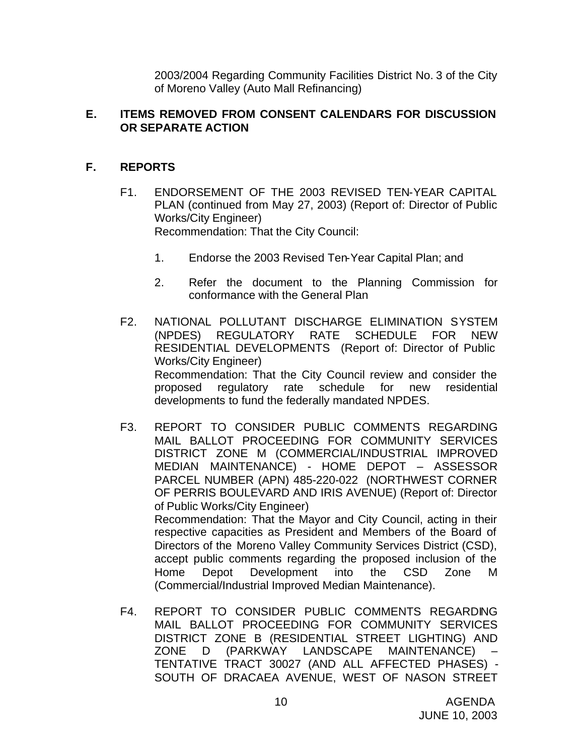2003/2004 Regarding Community Facilities District No. 3 of the City of Moreno Valley (Auto Mall Refinancing)

## **E. ITEMS REMOVED FROM CONSENT CALENDARS FOR DISCUSSION OR SEPARATE ACTION**

## **F. REPORTS**

- F1. ENDORSEMENT OF THE 2003 REVISED TEN-YEAR CAPITAL PLAN (continued from May 27, 2003) (Report of: Director of Public Works/City Engineer) Recommendation: That the City Council:
	- 1. Endorse the 2003 Revised Ten-Year Capital Plan; and
	- 2. Refer the document to the Planning Commission for conformance with the General Plan
- F2. NATIONAL POLLUTANT DISCHARGE ELIMINATION SYSTEM (NPDES) REGULATORY RATE SCHEDULE FOR NEW RESIDENTIAL DEVELOPMENTS (Report of: Director of Public Works/City Engineer) Recommendation: That the City Council review and consider the proposed regulatory rate schedule for new residential developments to fund the federally mandated NPDES.
- F3. REPORT TO CONSIDER PUBLIC COMMENTS REGARDING MAIL BALLOT PROCEEDING FOR COMMUNITY SERVICES DISTRICT ZONE M (COMMERCIAL/INDUSTRIAL IMPROVED MEDIAN MAINTENANCE) - HOME DEPOT – ASSESSOR PARCEL NUMBER (APN) 485-220-022 (NORTHWEST CORNER OF PERRIS BOULEVARD AND IRIS AVENUE) (Report of: Director of Public Works/City Engineer) Recommendation: That the Mayor and City Council, acting in their respective capacities as President and Members of the Board of Directors of the Moreno Valley Community Services District (CSD), accept public comments regarding the proposed inclusion of the Home Depot Development into the CSD Zone M (Commercial/Industrial Improved Median Maintenance).
- F4. REPORT TO CONSIDER PUBLIC COMMENTS REGARDING MAIL BALLOT PROCEEDING FOR COMMUNITY SERVICES DISTRICT ZONE B (RESIDENTIAL STREET LIGHTING) AND ZONE D (PARKWAY LANDSCAPE MAINTENANCE) – TENTATIVE TRACT 30027 (AND ALL AFFECTED PHASES) - SOUTH OF DRACAEA AVENUE, WEST OF NASON STREET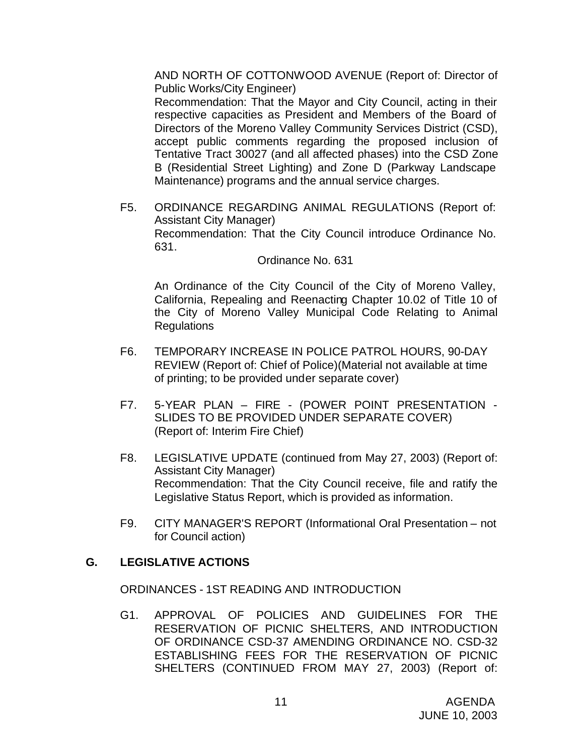AND NORTH OF COTTONWOOD AVENUE (Report of: Director of Public Works/City Engineer)

Recommendation: That the Mayor and City Council, acting in their respective capacities as President and Members of the Board of Directors of the Moreno Valley Community Services District (CSD), accept public comments regarding the proposed inclusion of Tentative Tract 30027 (and all affected phases) into the CSD Zone B (Residential Street Lighting) and Zone D (Parkway Landscape Maintenance) programs and the annual service charges.

F5. ORDINANCE REGARDING ANIMAL REGULATIONS (Report of: Assistant City Manager) Recommendation: That the City Council introduce Ordinance No. 631.

Ordinance No. 631

An Ordinance of the City Council of the City of Moreno Valley, California, Repealing and Reenacting Chapter 10.02 of Title 10 of the City of Moreno Valley Municipal Code Relating to Animal **Regulations** 

- F6. TEMPORARY INCREASE IN POLICE PATROL HOURS, 90-DAY REVIEW (Report of: Chief of Police)(Material not available at time of printing; to be provided under separate cover)
- F7. 5-YEAR PLAN FIRE (POWER POINT PRESENTATION SLIDES TO BE PROVIDED UNDER SEPARATE COVER) (Report of: Interim Fire Chief)
- F8. LEGISLATIVE UPDATE (continued from May 27, 2003) (Report of: Assistant City Manager) Recommendation: That the City Council receive, file and ratify the Legislative Status Report, which is provided as information.
- F9. CITY MANAGER'S REPORT (Informational Oral Presentation not for Council action)

# **G. LEGISLATIVE ACTIONS**

ORDINANCES - 1ST READING AND INTRODUCTION

G1. APPROVAL OF POLICIES AND GUIDELINES FOR THE RESERVATION OF PICNIC SHELTERS, AND INTRODUCTION OF ORDINANCE CSD-37 AMENDING ORDINANCE NO. CSD-32 ESTABLISHING FEES FOR THE RESERVATION OF PICNIC SHELTERS (CONTINUED FROM MAY 27, 2003) (Report of: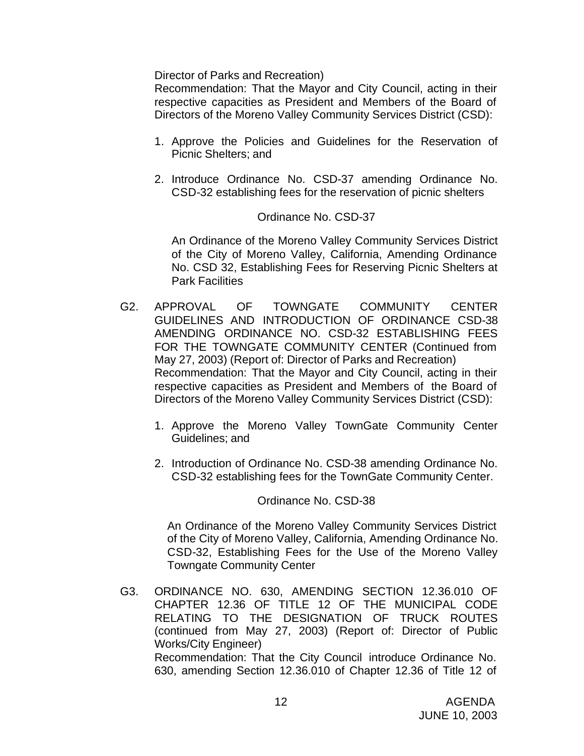Director of Parks and Recreation)

Recommendation: That the Mayor and City Council, acting in their respective capacities as President and Members of the Board of Directors of the Moreno Valley Community Services District (CSD):

- 1. Approve the Policies and Guidelines for the Reservation of Picnic Shelters; and
- 2. Introduce Ordinance No. CSD-37 amending Ordinance No. CSD-32 establishing fees for the reservation of picnic shelters

#### Ordinance No. CSD-37

An Ordinance of the Moreno Valley Community Services District of the City of Moreno Valley, California, Amending Ordinance No. CSD 32, Establishing Fees for Reserving Picnic Shelters at Park Facilities

- G2. APPROVAL OF TOWNGATE COMMUNITY CENTER GUIDELINES AND INTRODUCTION OF ORDINANCE CSD-38 AMENDING ORDINANCE NO. CSD-32 ESTABLISHING FEES FOR THE TOWNGATE COMMUNITY CENTER (Continued from May 27, 2003) (Report of: Director of Parks and Recreation) Recommendation: That the Mayor and City Council, acting in their respective capacities as President and Members of the Board of Directors of the Moreno Valley Community Services District (CSD):
	- 1. Approve the Moreno Valley TownGate Community Center Guidelines; and
	- 2. Introduction of Ordinance No. CSD-38 amending Ordinance No. CSD-32 establishing fees for the TownGate Community Center.

#### Ordinance No. CSD-38

An Ordinance of the Moreno Valley Community Services District of the City of Moreno Valley, California, Amending Ordinance No. CSD-32, Establishing Fees for the Use of the Moreno Valley Towngate Community Center

G3. ORDINANCE NO. 630, AMENDING SECTION 12.36.010 OF CHAPTER 12.36 OF TITLE 12 OF THE MUNICIPAL CODE RELATING TO THE DESIGNATION OF TRUCK ROUTES (continued from May 27, 2003) (Report of: Director of Public Works/City Engineer) Recommendation: That the City Council introduce Ordinance No. 630, amending Section 12.36.010 of Chapter 12.36 of Title 12 of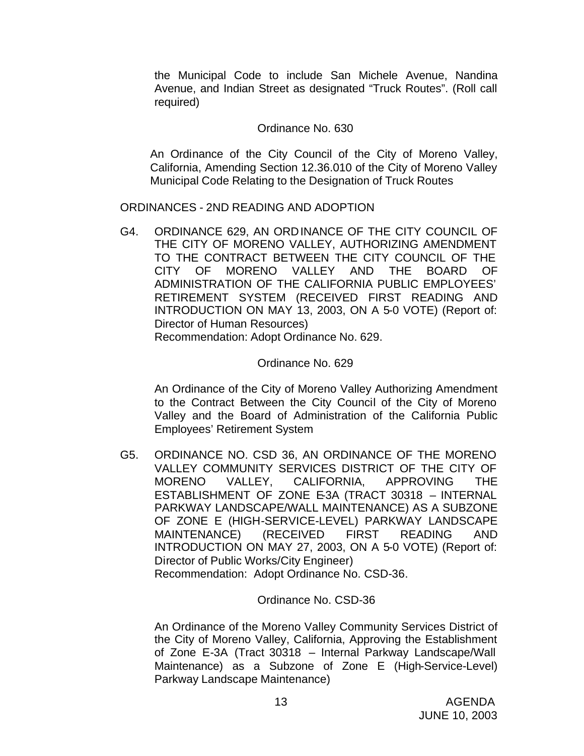the Municipal Code to include San Michele Avenue, Nandina Avenue, and Indian Street as designated "Truck Routes". (Roll call required)

## Ordinance No. 630

An Ordinance of the City Council of the City of Moreno Valley, California, Amending Section 12.36.010 of the City of Moreno Valley Municipal Code Relating to the Designation of Truck Routes

#### ORDINANCES - 2ND READING AND ADOPTION

G4. ORDINANCE 629, AN ORDINANCE OF THE CITY COUNCIL OF THE CITY OF MORENO VALLEY, AUTHORIZING AMENDMENT TO THE CONTRACT BETWEEN THE CITY COUNCIL OF THE CITY OF MORENO VALLEY AND THE BOARD OF ADMINISTRATION OF THE CALIFORNIA PUBLIC EMPLOYEES' RETIREMENT SYSTEM (RECEIVED FIRST READING AND INTRODUCTION ON MAY 13, 2003, ON A 5-0 VOTE) (Report of: Director of Human Resources)

Recommendation: Adopt Ordinance No. 629.

## Ordinance No. 629

An Ordinance of the City of Moreno Valley Authorizing Amendment to the Contract Between the City Council of the City of Moreno Valley and the Board of Administration of the California Public Employees' Retirement System

G5. ORDINANCE NO. CSD 36, AN ORDINANCE OF THE MORENO VALLEY COMMUNITY SERVICES DISTRICT OF THE CITY OF MORENO VALLEY, CALIFORNIA, APPROVING THE ESTABLISHMENT OF ZONE E-3A (TRACT 30318 – INTERNAL PARKWAY LANDSCAPE/WALL MAINTENANCE) AS A SUBZONE OF ZONE E (HIGH-SERVICE-LEVEL) PARKWAY LANDSCAPE MAINTENANCE) (RECEIVED FIRST READING AND INTRODUCTION ON MAY 27, 2003, ON A 5-0 VOTE) (Report of: Director of Public Works/City Engineer) Recommendation: Adopt Ordinance No. CSD-36.

## Ordinance No. CSD-36

An Ordinance of the Moreno Valley Community Services District of the City of Moreno Valley, California, Approving the Establishment of Zone E-3A (Tract 30318 – Internal Parkway Landscape/Wall Maintenance) as a Subzone of Zone E (High-Service-Level) Parkway Landscape Maintenance)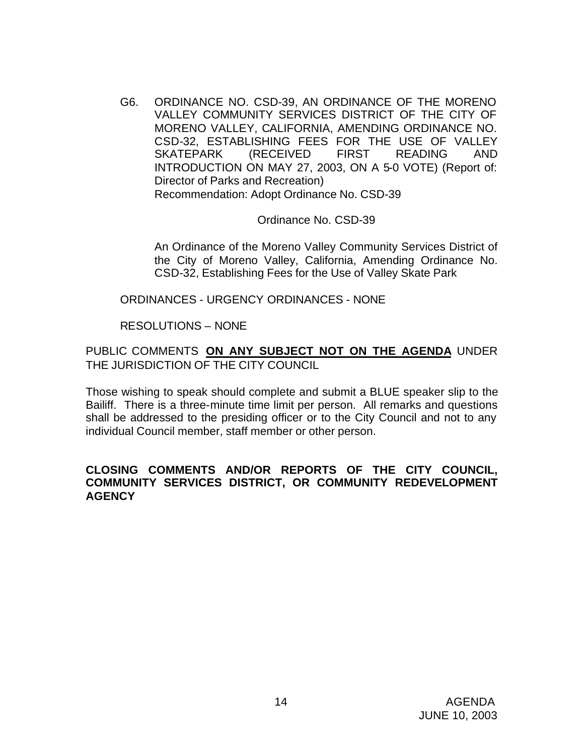G6. ORDINANCE NO. CSD-39, AN ORDINANCE OF THE MORENO VALLEY COMMUNITY SERVICES DISTRICT OF THE CITY OF MORENO VALLEY, CALIFORNIA, AMENDING ORDINANCE NO. CSD-32, ESTABLISHING FEES FOR THE USE OF VALLEY SKATEPARK (RECEIVED FIRST READING AND INTRODUCTION ON MAY 27, 2003, ON A 5-0 VOTE) (Report of: Director of Parks and Recreation) Recommendation: Adopt Ordinance No. CSD-39

Ordinance No. CSD-39

An Ordinance of the Moreno Valley Community Services District of the City of Moreno Valley, California, Amending Ordinance No. CSD-32, Establishing Fees for the Use of Valley Skate Park

ORDINANCES - URGENCY ORDINANCES - NONE

RESOLUTIONS – NONE

PUBLIC COMMENTS **ON ANY SUBJECT NOT ON THE AGENDA** UNDER THE JURISDICTION OF THE CITY COUNCIL

Those wishing to speak should complete and submit a BLUE speaker slip to the Bailiff. There is a three-minute time limit per person. All remarks and questions shall be addressed to the presiding officer or to the City Council and not to any individual Council member, staff member or other person.

## **CLOSING COMMENTS AND/OR REPORTS OF THE CITY COUNCIL, COMMUNITY SERVICES DISTRICT, OR COMMUNITY REDEVELOPMENT AGENCY**